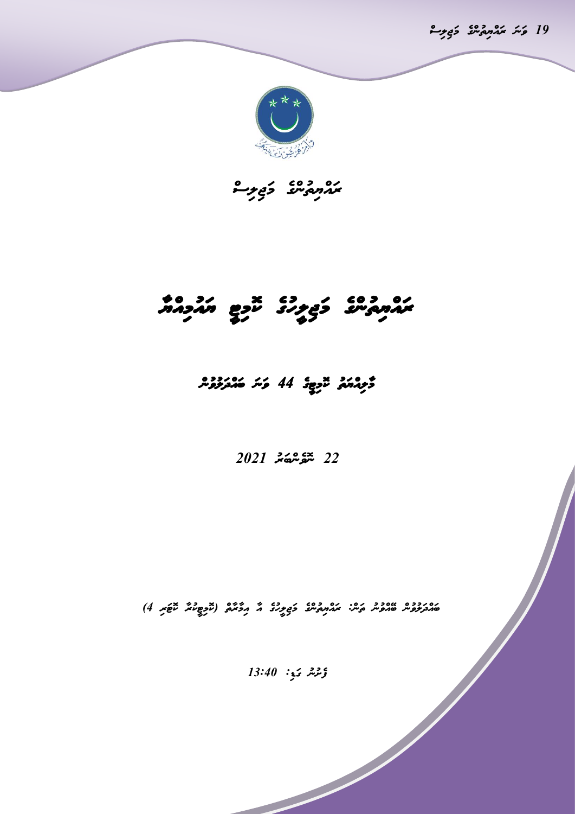19 *ؤﯩﺌ ﻣ*័ﻣﯘﻳﯘ ﻛﻮ<del>ﻳ</del>ﺮ



*ރައްޔިތުންގެ މަޖިލިސް* 

# *ރައްޔިތުންގެ މަޖި ލީހުގެ ކޮމިޓީ ޔައުމިއްޔ*

## *މ ލިއްޔަތު ކޮ މިޓީގެ 44 ވަނަ ބައްދަލުވުން*

### *22 ނޮވެންބަރު 2021*

دەرددە »ەدد كېش كۆچە دەردە كەردىكى (ئىرمەتكە ئىچىر 4)

*ފެށުނު ގަޑ:ި 13:40*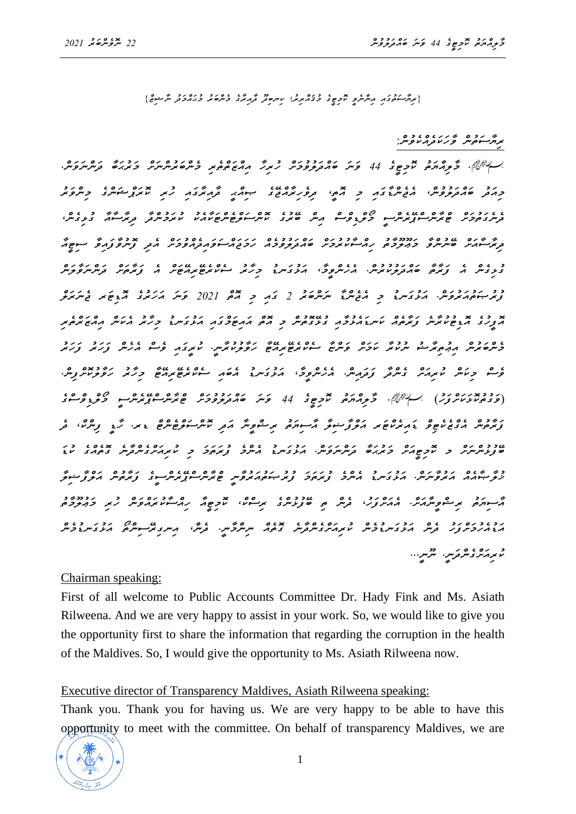*}ރިޔާސަތުގައި އިންނެވީ ކޮމިޓީގެ މުޤައްރިރު؛ ކިނބިދޫ ދާއިރާގެ މެންބަރު މުޙައްމަދު ނާޝިޒް{* 

*ރިޔާސަތުން ވާހަކަދެއްކެވުނ:ް*

*`. މާލިއްޔަތު ކޮމިޓީގެ 44 ވަނަ ބައްދަލުވުމަށް ހުރިހާ އިއްޒަތްތެރި މެންބަރުންނަށް މަރުޙަބާ ދަންނަވަނ.ް މިއަދު ބައްދަލުވުނ،ް އެޖެންޑާގައި މި އޮތ،ީ ދިވެހިރާއްޖޭގެ ޞިއްޙީ ދާއިރާގައި ހުރި ކޮރަޕްޝަންގެ މިންވަރު ދެނެގަތުމަށް ޓްރާންސްޕޭރެންސީ މޯލްޑިވްސް އިން ބޭރުގެ ކޮންސަލްޓެންޓަކާއެކު ކުރަމުންދާ ދިރާސާއާ ގުޅިގެނ،ް ދިރާސާއަށް ބޭނުންވާ މަޢޫލޫމާތު ހިއްސާކުރުމަށް ބައްދަލުވުމެއް ހަމަޖައްސަވައިދެއްވުމަށް އެ ދި ފޮނުވާފައިވާ ސިޓީއާ ގުޅިގެން އެ ފަރާތާ ބައްދަލުކުރުނ.ް އެހެންވީމ،ާ އަޅުގަނޑު މިހާރު ސެކްރެޓޭރިއޭޓަށް އެ ފަރާތަށް ދަންނަވާލަން ފުރުޞަތުއަރުވަނ.ް އަޅުގަނޑު މި އެޖެންޑާ ނަންބަރު 2 ގައި މި އޮތް 2021 ވަނަ އަހަރުގެ އޮޑިޓަރ ޖެނަރަލް އޮފީހުގެ އޮޑިޓުކުރާނެ ފަރާތެއް ކަނޑައެޅުމާއި ގުޅޭގޮތުން މި އޮތް އައިޓަމްގައި އަޅުގަނޑު މިހާރު އެކަން އިއްޒަރްތެރި މެންބަރުން އިޢުތިރާޟު ނުކުރާ ކަމަށް ވަންޏާ ސެކްރެޓޭރިއޭޓާ ހަވާލުކުރާނ.ީ ކުރީގައި ވެސް އެހެން ފަހަރު ފަހަރު ވެސް މިކަން ކުރިއަށް ގެންދާ ފަދައިނ.ް އެހެންވީމ،ާ އަޅުގަނޑު އެބައި ސެކްރެޓޭރިއޭޓާ މިހާރު ހަވާލުކޮށްފިނ.ް )ވަގުތުކޮޅަކަށްފަހު( `. މާލިއްޔަތު ކޮމިޓީގެ 44 ވަނަ ބައްދަލުވުމަށް ޓްރާންސްޕޭރެންސީ މޯލްޑިވްސްގެ ފަރާތުން އެގްޒެކެޓިވް ޑައިރެކްޓަރ އަލްފާޟިލާ އާސިޔަތު ރިޟްވީނާ އަދި ކޮންސަލްޓެންޓް ޑރ. ހާޑީ ފިންކ،ް ދެ ބޭފުޅުންނަށް މ ކޮމިޓީއަށް މަރުޙަބާ ދަންނަވަނ.ް އަޅުގަނޑު އެންމެ ފުރަތަމަ މި ކުރިއަށްގެންދާނެ ގޮތެއްގެ ކުޑަ ޚުލާޞާއެއް އަރުވާނަނ.ް އަޅުގަނޑު އެންމެ ފުރަތަމަ ފުރުޞަތުއަރުވާނީ ޓްރާންސްޕޭރެންސީގެ ފަރާތުން އަލްފާޟިލާ*  حسب دو موضور دوږد د دوږد د دوږد د دوږد د دوږد د دوږد د دوږد د دوږد د دوږد د دوږد د دوږد د دوږد د دوږد د د<br>مسووره پر سوونتر *پر د د درس د سورس د سرس د د دورو د د د د د د د د د دورو د އަޑުއެހުމަށްފަހު ދެން އަޅުގަނޑުމެން ކުރިއަށްގެންދާނެ ގޮތެއް ނިންމާނ.ީ ދެނ،ް އިނގިރޭސިންތޯ އަޅުގަނޑުމެން*  د ده. وه در دو...<br>مربرمر<sub>ک</sub>س <sub>مرب</sub>ر شریر...

#### Chairman speaking:

First of all welcome to Public Accounts Committee Dr. Hady Fink and Ms. Asiath Rilweena. And we are very happy to assist in your work. So, we would like to give you the opportunity first to share the information that regarding the corruption in the health of the Maldives. So, I would give the opportunity to Ms. Asiath Rilweena now.

#### Executive director of Transparency Maldives, Asiath Rilweena speaking:

Thank you. Thank you for having us. We are very happy to be able to have this opportunity to meet with the committee. On behalf of transparency Maldives, we are

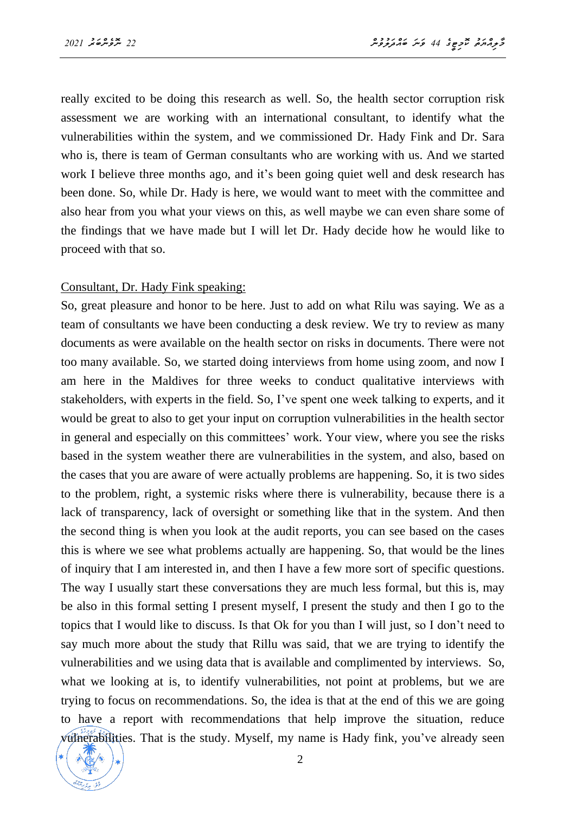really excited to be doing this research as well. So, the health sector corruption risk assessment we are working with an international consultant, to identify what the vulnerabilities within the system, and we commissioned Dr. Hady Fink and Dr. Sara who is, there is team of German consultants who are working with us. And we started work I believe three months ago, and it's been going quiet well and desk research has been done. So, while Dr. Hady is here, we would want to meet with the committee and also hear from you what your views on this, as well maybe we can even share some of the findings that we have made but I will let Dr. Hady decide how he would like to proceed with that so.

#### Consultant, Dr. Hady Fink speaking:

So, great pleasure and honor to be here. Just to add on what Rilu was saying. We as a team of consultants we have been conducting a desk review. We try to review as many documents as were available on the health sector on risks in documents. There were not too many available. So, we started doing interviews from home using zoom, and now I am here in the Maldives for three weeks to conduct qualitative interviews with stakeholders, with experts in the field. So, I've spent one week talking to experts, and it would be great to also to get your input on corruption vulnerabilities in the health sector in general and especially on this committees' work. Your view, where you see the risks based in the system weather there are vulnerabilities in the system, and also, based on the cases that you are aware of were actually problems are happening. So, it is two sides to the problem, right, a systemic risks where there is vulnerability, because there is a lack of transparency, lack of oversight or something like that in the system. And then the second thing is when you look at the audit reports, you can see based on the cases this is where we see what problems actually are happening. So, that would be the lines of inquiry that I am interested in, and then I have a few more sort of specific questions. The way I usually start these conversations they are much less formal, but this is, may be also in this formal setting I present myself, I present the study and then I go to the topics that I would like to discuss. Is that Ok for you than I will just, so I don't need to say much more about the study that Rillu was said, that we are trying to identify the vulnerabilities and we using data that is available and complimented by interviews. So, what we looking at is, to identify vulnerabilities, not point at problems, but we are trying to focus on recommendations. So, the idea is that at the end of this we are going to have a report with recommendations that help improve the situation, reduce vulnerabilities. That is the study. Myself, my name is Hady fink, you've already seen

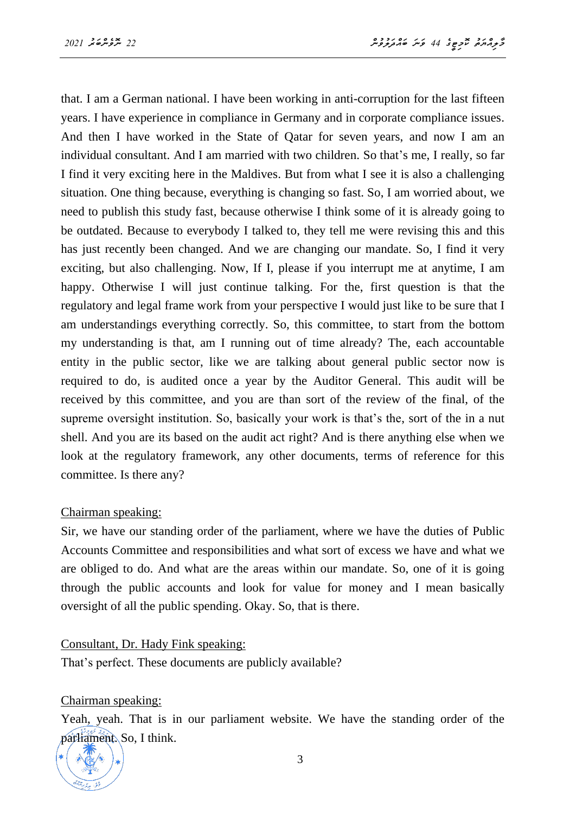that. I am a German national. I have been working in anti-corruption for the last fifteen years. I have experience in compliance in Germany and in corporate compliance issues. And then I have worked in the State of Qatar for seven years, and now I am an individual consultant. And I am married with two children. So that's me, I really, so far I find it very exciting here in the Maldives. But from what I see it is also a challenging situation. One thing because, everything is changing so fast. So, I am worried about, we need to publish this study fast, because otherwise I think some of it is already going to be outdated. Because to everybody I talked to, they tell me were revising this and this has just recently been changed. And we are changing our mandate. So, I find it very exciting, but also challenging. Now, If I, please if you interrupt me at anytime, I am happy. Otherwise I will just continue talking. For the, first question is that the regulatory and legal frame work from your perspective I would just like to be sure that I am understandings everything correctly. So, this committee, to start from the bottom my understanding is that, am I running out of time already? The, each accountable entity in the public sector, like we are talking about general public sector now is required to do, is audited once a year by the Auditor General. This audit will be received by this committee, and you are than sort of the review of the final, of the supreme oversight institution. So, basically your work is that's the, sort of the in a nut shell. And you are its based on the audit act right? And is there anything else when we look at the regulatory framework, any other documents, terms of reference for this committee. Is there any?

#### Chairman speaking:

Sir, we have our standing order of the parliament, where we have the duties of Public Accounts Committee and responsibilities and what sort of excess we have and what we are obliged to do. And what are the areas within our mandate. So, one of it is going through the public accounts and look for value for money and I mean basically oversight of all the public spending. Okay. So, that is there.

Consultant, Dr. Hady Fink speaking:

That's perfect. These documents are publicly available?

Chairman speaking:

Yeah, yeah. That is in our parliament website. We have the standing order of the parliament. So, I think.

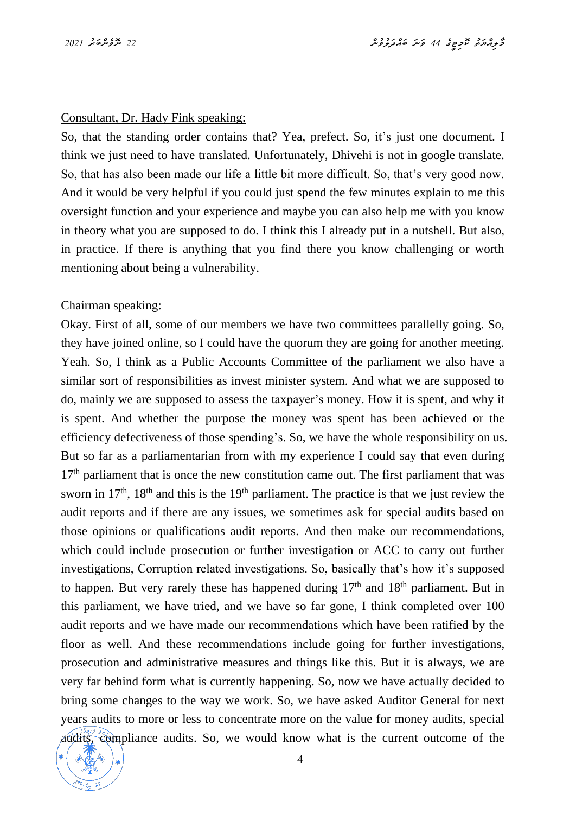#### Consultant, Dr. Hady Fink speaking:

So, that the standing order contains that? Yea, prefect. So, it's just one document. I think we just need to have translated. Unfortunately, Dhivehi is not in google translate. So, that has also been made our life a little bit more difficult. So, that's very good now. And it would be very helpful if you could just spend the few minutes explain to me this oversight function and your experience and maybe you can also help me with you know in theory what you are supposed to do. I think this I already put in a nutshell. But also, in practice. If there is anything that you find there you know challenging or worth mentioning about being a vulnerability.

#### Chairman speaking:

Okay. First of all, some of our members we have two committees parallelly going. So, they have joined online, so I could have the quorum they are going for another meeting. Yeah. So, I think as a Public Accounts Committee of the parliament we also have a similar sort of responsibilities as invest minister system. And what we are supposed to do, mainly we are supposed to assess the taxpayer's money. How it is spent, and why it is spent. And whether the purpose the money was spent has been achieved or the efficiency defectiveness of those spending's. So, we have the whole responsibility on us. But so far as a parliamentarian from with my experience I could say that even during  $17<sup>th</sup>$  parliament that is once the new constitution came out. The first parliament that was sworn in  $17<sup>th</sup>$ ,  $18<sup>th</sup>$  and this is the  $19<sup>th</sup>$  parliament. The practice is that we just review the audit reports and if there are any issues, we sometimes ask for special audits based on those opinions or qualifications audit reports. And then make our recommendations, which could include prosecution or further investigation or ACC to carry out further investigations, Corruption related investigations. So, basically that's how it's supposed to happen. But very rarely these has happened during 17<sup>th</sup> and 18<sup>th</sup> parliament. But in this parliament, we have tried, and we have so far gone, I think completed over 100 audit reports and we have made our recommendations which have been ratified by the floor as well. And these recommendations include going for further investigations, prosecution and administrative measures and things like this. But it is always, we are very far behind form what is currently happening. So, now we have actually decided to bring some changes to the way we work. So, we have asked Auditor General for next years audits to more or less to concentrate more on the value for money audits, special audits, compliance audits. So, we would know what is the current outcome of the

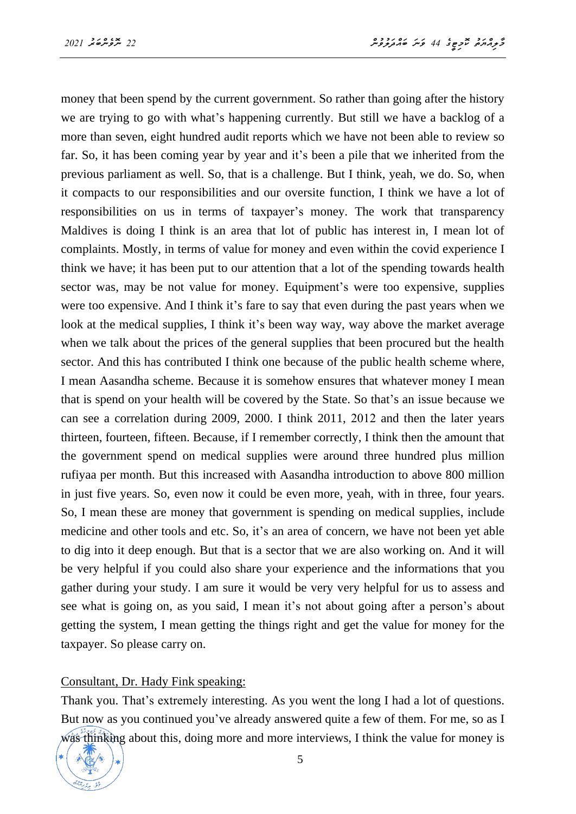money that been spend by the current government. So rather than going after the history we are trying to go with what's happening currently. But still we have a backlog of a more than seven, eight hundred audit reports which we have not been able to review so far. So, it has been coming year by year and it's been a pile that we inherited from the previous parliament as well. So, that is a challenge. But I think, yeah, we do. So, when it compacts to our responsibilities and our oversite function, I think we have a lot of responsibilities on us in terms of taxpayer's money. The work that transparency Maldives is doing I think is an area that lot of public has interest in, I mean lot of complaints. Mostly, in terms of value for money and even within the covid experience I think we have; it has been put to our attention that a lot of the spending towards health sector was, may be not value for money. Equipment's were too expensive, supplies were too expensive. And I think it's fare to say that even during the past years when we look at the medical supplies, I think it's been way way, way above the market average when we talk about the prices of the general supplies that been procured but the health sector. And this has contributed I think one because of the public health scheme where, I mean Aasandha scheme. Because it is somehow ensures that whatever money I mean that is spend on your health will be covered by the State. So that's an issue because we can see a correlation during 2009, 2000. I think 2011, 2012 and then the later years thirteen, fourteen, fifteen. Because, if I remember correctly, I think then the amount that the government spend on medical supplies were around three hundred plus million rufiyaa per month. But this increased with Aasandha introduction to above 800 million in just five years. So, even now it could be even more, yeah, with in three, four years. So, I mean these are money that government is spending on medical supplies, include medicine and other tools and etc. So, it's an area of concern, we have not been yet able to dig into it deep enough. But that is a sector that we are also working on. And it will be very helpful if you could also share your experience and the informations that you gather during your study. I am sure it would be very very helpful for us to assess and see what is going on, as you said, I mean it's not about going after a person's about getting the system, I mean getting the things right and get the value for money for the taxpayer. So please carry on.

#### Consultant, Dr. Hady Fink speaking:

Thank you. That's extremely interesting. As you went the long I had a lot of questions. But now as you continued you've already answered quite a few of them. For me, so as I was thinking about this, doing more and more interviews, I think the value for money is

$$
*\left(\begin{array}{c}\text{axis}\\\text{5000}\\\text{4000}\\\text{4000}\\\text{4000}\\\text{4000}\\\text{4000}\\\text{4000}\\\text{4000}\\\text{4000}\\\text{4000}\\\text{4000}\\\text{4000}\\\text{4000}\\\text{4000}\\\text{4000}\\\text{4000}\\\text{4000}\\\text{4000}\\\text{4000}\\\text{4000}\\\text{4000}\\\text{4000}\\\text{4000}\\\text{4000}\\\text{4000}\\\text{4000}\\\text{4000}\\\text{4000}\\\text{4000}\\\text{4000}\\\text{4000}\\\text{4000}\\\text{4000}\\\text{4000}\\\text{4000}\\\text{4000}\\\text{4000}\\\text{4000}\\\text{4000}\\\text{4000}\\\text{4000}\\\text{4000}\\\text{4000}\\\text{4000}\\\text{4000}\\\text{4000}\\\text{4000}\\\text{4000}\\\text{4000}\\\text{4000}\\\text{4000}\\\text{4000}\\\text{4000}\\\text{4000}\\\text{4000}\\\text{4000}\\\text{4000}\\\text{4000}\\\text{4000}\\\text{4000}\\\text{4000}\\\text{4000}\\\text{4000}\\\text{4000}\\\text{4000}\\\text{4000}\\\text{4000}\\\text{4000}\\\text{4000}\\\text{4000}\\\text{4000}\\\text{4000}\\\text{4000}\\\text{4000}\\\text{4000}\\\text{4000}\\\text{4000}\\\text{4000}\\\text{4000}\\\text{4000}\\\text{4000}\\\text{4000}\\\text{4000}\\\text{4000}\\\text{4000}\\\text{4000}\\\text{4000}\\\text{4000}\\\text{4000}\\\text{4000}\\\text{4000}\\\text{4000}\\\text{4000}\\\text
$$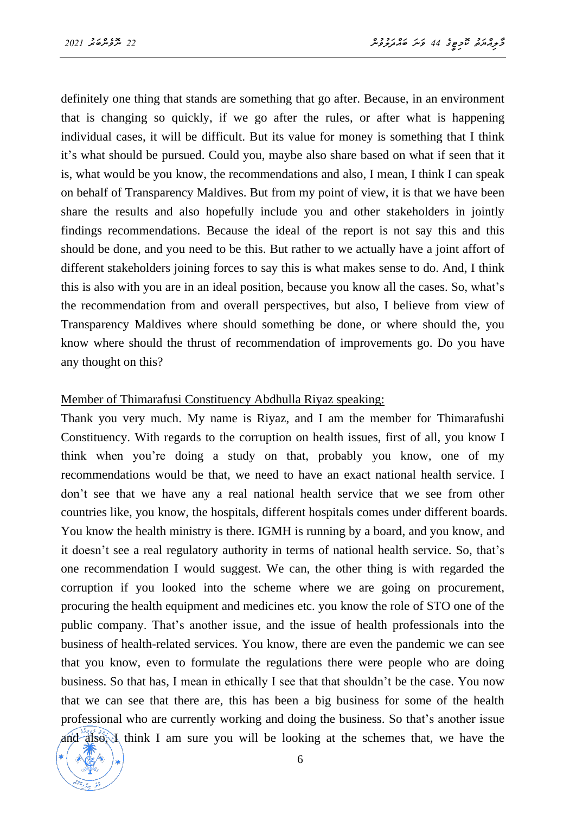definitely one thing that stands are something that go after. Because, in an environment that is changing so quickly, if we go after the rules, or after what is happening individual cases, it will be difficult. But its value for money is something that I think it's what should be pursued. Could you, maybe also share based on what if seen that it is, what would be you know, the recommendations and also, I mean, I think I can speak on behalf of Transparency Maldives. But from my point of view, it is that we have been share the results and also hopefully include you and other stakeholders in jointly findings recommendations. Because the ideal of the report is not say this and this should be done, and you need to be this. But rather to we actually have a joint affort of different stakeholders joining forces to say this is what makes sense to do. And, I think this is also with you are in an ideal position, because you know all the cases. So, what's the recommendation from and overall perspectives, but also, I believe from view of Transparency Maldives where should something be done, or where should the, you know where should the thrust of recommendation of improvements go. Do you have any thought on this?

#### Member of Thimarafusi Constituency Abdhulla Riyaz speaking:

Thank you very much. My name is Riyaz, and I am the member for Thimarafushi Constituency. With regards to the corruption on health issues, first of all, you know I think when you're doing a study on that, probably you know, one of my recommendations would be that, we need to have an exact national health service. I don't see that we have any a real national health service that we see from other countries like, you know, the hospitals, different hospitals comes under different boards. You know the health ministry is there. IGMH is running by a board, and you know, and it doesn't see a real regulatory authority in terms of national health service. So, that's one recommendation I would suggest. We can, the other thing is with regarded the corruption if you looked into the scheme where we are going on procurement, procuring the health equipment and medicines etc. you know the role of STO one of the public company. That's another issue, and the issue of health professionals into the business of health-related services. You know, there are even the pandemic we can see that you know, even to formulate the regulations there were people who are doing business. So that has, I mean in ethically I see that that shouldn't be the case. You now that we can see that there are, this has been a big business for some of the health professional who are currently working and doing the business. So that's another issue and also, I think I am sure you will be looking at the schemes that, we have the

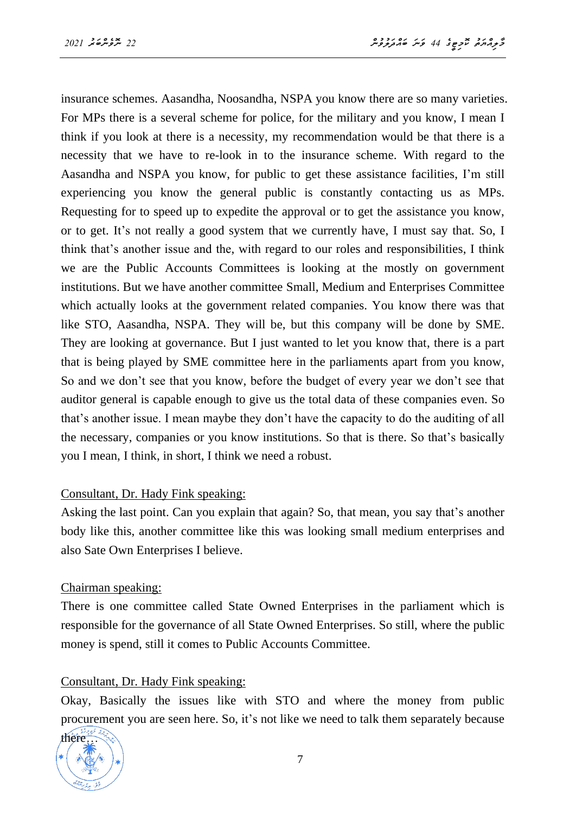insurance schemes. Aasandha, Noosandha, NSPA you know there are so many varieties. For MPs there is a several scheme for police, for the military and you know, I mean I think if you look at there is a necessity, my recommendation would be that there is a necessity that we have to re-look in to the insurance scheme. With regard to the Aasandha and NSPA you know, for public to get these assistance facilities, I'm still experiencing you know the general public is constantly contacting us as MPs. Requesting for to speed up to expedite the approval or to get the assistance you know, or to get. It's not really a good system that we currently have, I must say that. So, I think that's another issue and the, with regard to our roles and responsibilities, I think we are the Public Accounts Committees is looking at the mostly on government institutions. But we have another committee Small, Medium and Enterprises Committee which actually looks at the government related companies. You know there was that like STO, Aasandha, NSPA. They will be, but this company will be done by SME. They are looking at governance. But I just wanted to let you know that, there is a part that is being played by SME committee here in the parliaments apart from you know, So and we don't see that you know, before the budget of every year we don't see that auditor general is capable enough to give us the total data of these companies even. So that's another issue. I mean maybe they don't have the capacity to do the auditing of all the necessary, companies or you know institutions. So that is there. So that's basically you I mean, I think, in short, I think we need a robust.

#### Consultant, Dr. Hady Fink speaking:

Asking the last point. Can you explain that again? So, that mean, you say that's another body like this, another committee like this was looking small medium enterprises and also Sate Own Enterprises I believe.

#### Chairman speaking:

There is one committee called State Owned Enterprises in the parliament which is responsible for the governance of all State Owned Enterprises. So still, where the public money is spend, still it comes to Public Accounts Committee.

#### Consultant, Dr. Hady Fink speaking:

Okay, Basically the issues like with STO and where the money from public procurement you are seen here. So, it's not like we need to talk them separately because

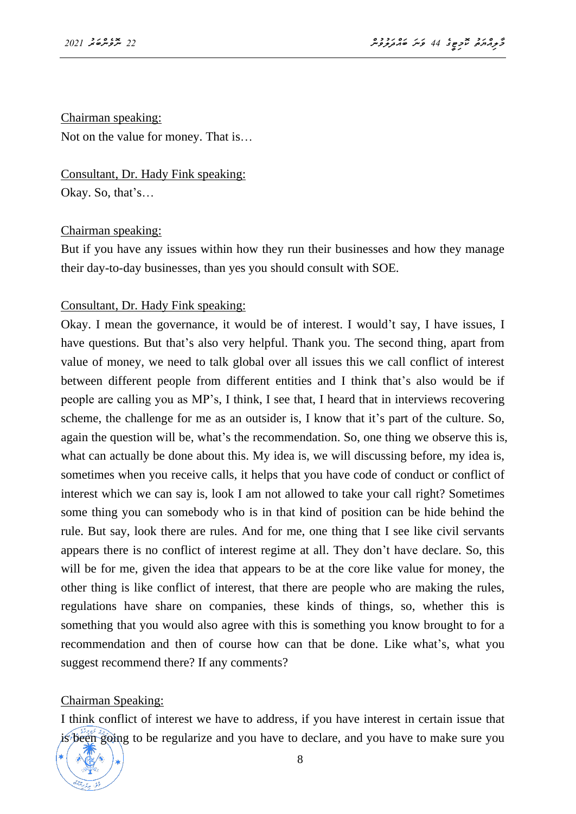#### Chairman speaking:

Not on the value for money. That is…

Consultant, Dr. Hady Fink speaking: Okay. So, that's…

#### Chairman speaking:

But if you have any issues within how they run their businesses and how they manage their day-to-day businesses, than yes you should consult with SOE.

#### Consultant, Dr. Hady Fink speaking:

Okay. I mean the governance, it would be of interest. I would't say, I have issues, I have questions. But that's also very helpful. Thank you. The second thing, apart from value of money, we need to talk global over all issues this we call conflict of interest between different people from different entities and I think that's also would be if people are calling you as MP's, I think, I see that, I heard that in interviews recovering scheme, the challenge for me as an outsider is, I know that it's part of the culture. So, again the question will be, what's the recommendation. So, one thing we observe this is, what can actually be done about this. My idea is, we will discussing before, my idea is, sometimes when you receive calls, it helps that you have code of conduct or conflict of interest which we can say is, look I am not allowed to take your call right? Sometimes some thing you can somebody who is in that kind of position can be hide behind the rule. But say, look there are rules. And for me, one thing that I see like civil servants appears there is no conflict of interest regime at all. They don't have declare. So, this will be for me, given the idea that appears to be at the core like value for money, the other thing is like conflict of interest, that there are people who are making the rules, regulations have share on companies, these kinds of things, so, whether this is something that you would also agree with this is something you know brought to for a recommendation and then of course how can that be done. Like what's, what you suggest recommend there? If any comments?

#### Chairman Speaking:

I think conflict of interest we have to address, if you have interest in certain issue that is been going to be regularize and you have to declare, and you have to make sure you

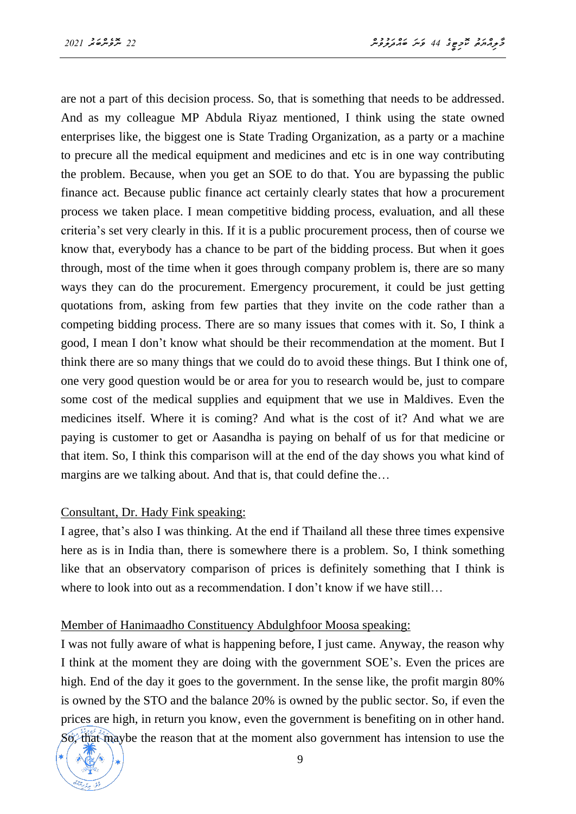are not a part of this decision process. So, that is something that needs to be addressed. And as my colleague MP Abdula Riyaz mentioned, I think using the state owned enterprises like, the biggest one is State Trading Organization, as a party or a machine to precure all the medical equipment and medicines and etc is in one way contributing the problem. Because, when you get an SOE to do that. You are bypassing the public finance act. Because public finance act certainly clearly states that how a procurement process we taken place. I mean competitive bidding process, evaluation, and all these criteria's set very clearly in this. If it is a public procurement process, then of course we know that, everybody has a chance to be part of the bidding process. But when it goes through, most of the time when it goes through company problem is, there are so many ways they can do the procurement. Emergency procurement, it could be just getting quotations from, asking from few parties that they invite on the code rather than a competing bidding process. There are so many issues that comes with it. So, I think a good, I mean I don't know what should be their recommendation at the moment. But I think there are so many things that we could do to avoid these things. But I think one of, one very good question would be or area for you to research would be, just to compare some cost of the medical supplies and equipment that we use in Maldives. Even the medicines itself. Where it is coming? And what is the cost of it? And what we are paying is customer to get or Aasandha is paying on behalf of us for that medicine or that item. So, I think this comparison will at the end of the day shows you what kind of margins are we talking about. And that is, that could define the…

#### Consultant, Dr. Hady Fink speaking:

I agree, that's also I was thinking. At the end if Thailand all these three times expensive here as is in India than, there is somewhere there is a problem. So, I think something like that an observatory comparison of prices is definitely something that I think is where to look into out as a recommendation. I don't know if we have still...

#### Member of Hanimaadho Constituency Abdulghfoor Moosa speaking:

I was not fully aware of what is happening before, I just came. Anyway, the reason why I think at the moment they are doing with the government SOE's. Even the prices are high. End of the day it goes to the government. In the sense like, the profit margin 80% is owned by the STO and the balance 20% is owned by the public sector. So, if even the prices are high, in return you know, even the government is benefiting on in other hand. So, that maybe the reason that at the moment also government has intension to use the

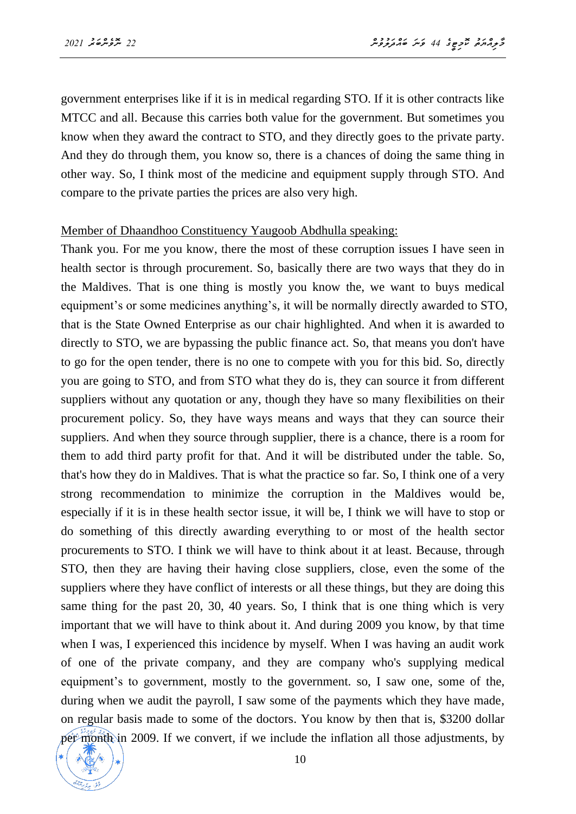government enterprises like if it is in medical regarding STO. If it is other contracts like MTCC and all. Because this carries both value for the government. But sometimes you know when they award the contract to STO, and they directly goes to the private party. And they do through them, you know so, there is a chances of doing the same thing in other way. So, I think most of the medicine and equipment supply through STO. And compare to the private parties the prices are also very high.

#### Member of Dhaandhoo Constituency Yaugoob Abdhulla speaking:

Thank you. For me you know, there the most of these corruption issues I have seen in health sector is through procurement. So, basically there are two ways that they do in the Maldives. That is one thing is mostly you know the, we want to buys medical equipment's or some medicines anything's, it will be normally directly awarded to STO, that is the State Owned Enterprise as our chair highlighted. And when it is awarded to directly to STO, we are bypassing the public finance act. So, that means you don't have to go for the open tender, there is no one to compete with you for this bid. So, directly you are going to STO, and from STO what they do is, they can source it from different suppliers without any quotation or any, though they have so many flexibilities on their procurement policy. So, they have ways means and ways that they can source their suppliers. And when they source through supplier, there is a chance, there is a room for them to add third party profit for that. And it will be distributed under the table. So, that's how they do in Maldives. That is what the practice so far. So, I think one of a very strong recommendation to minimize the corruption in the Maldives would be, especially if it is in these health sector issue, it will be, I think we will have to stop or do something of this directly awarding everything to or most of the health sector procurements to STO. I think we will have to think about it at least. Because, through STO, then they are having their having close suppliers, close, even the some of the suppliers where they have conflict of interests or all these things, but they are doing this same thing for the past 20, 30, 40 years. So, I think that is one thing which is very important that we will have to think about it. And during 2009 you know, by that time when I was, I experienced this incidence by myself. When I was having an audit work of one of the private company, and they are company who's supplying medical equipment's to government, mostly to the government. so, I saw one, some of the, during when we audit the payroll, I saw some of the payments which they have made, on regular basis made to some of the doctors. You know by then that is, \$3200 dollar per month in 2009. If we convert, if we include the inflation all those adjustments, by

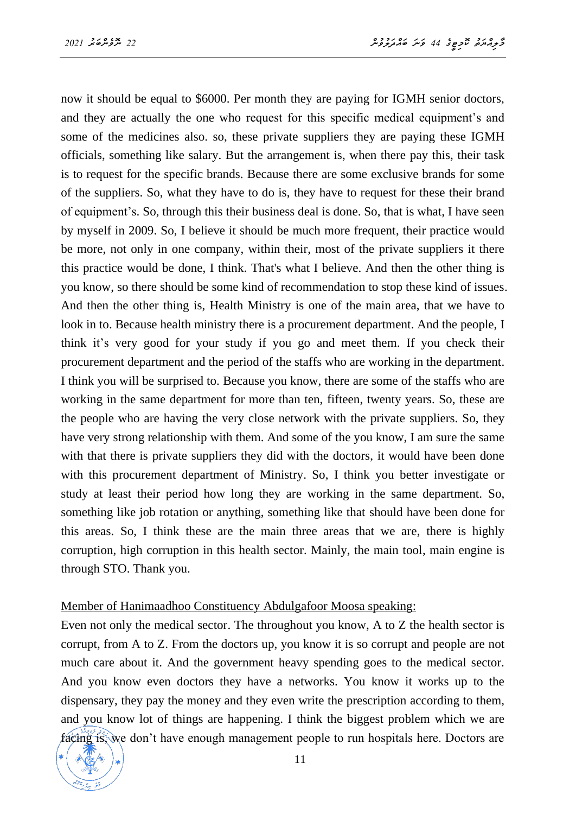now it should be equal to \$6000. Per month they are paying for IGMH senior doctors, and they are actually the one who request for this specific medical equipment's and some of the medicines also. so, these private suppliers they are paying these IGMH officials, something like salary. But the arrangement is, when there pay this, their task is to request for the specific brands. Because there are some exclusive brands for some of the suppliers. So, what they have to do is, they have to request for these their brand of equipment's. So, through this their business deal is done. So, that is what, I have seen by myself in 2009. So, I believe it should be much more frequent, their practice would be more, not only in one company, within their, most of the private suppliers it there this practice would be done, I think. That's what I believe. And then the other thing is you know, so there should be some kind of recommendation to stop these kind of issues. And then the other thing is, Health Ministry is one of the main area, that we have to look in to. Because health ministry there is a procurement department. And the people, I think it's very good for your study if you go and meet them. If you check their procurement department and the period of the staffs who are working in the department. I think you will be surprised to. Because you know, there are some of the staffs who are working in the same department for more than ten, fifteen, twenty years. So, these are the people who are having the very close network with the private suppliers. So, they have very strong relationship with them. And some of the you know, I am sure the same with that there is private suppliers they did with the doctors, it would have been done with this procurement department of Ministry. So, I think you better investigate or study at least their period how long they are working in the same department. So, something like job rotation or anything, something like that should have been done for this areas. So, I think these are the main three areas that we are, there is highly corruption, high corruption in this health sector. Mainly, the main tool, main engine is through STO. Thank you.

#### Member of Hanimaadhoo Constituency Abdulgafoor Moosa speaking:

Even not only the medical sector. The throughout you know, A to Z the health sector is corrupt, from A to Z. From the doctors up, you know it is so corrupt and people are not much care about it. And the government heavy spending goes to the medical sector. And you know even doctors they have a networks. You know it works up to the dispensary, they pay the money and they even write the prescription according to them, and you know lot of things are happening. I think the biggest problem which we are facing is, we don't have enough management people to run hospitals here. Doctors are

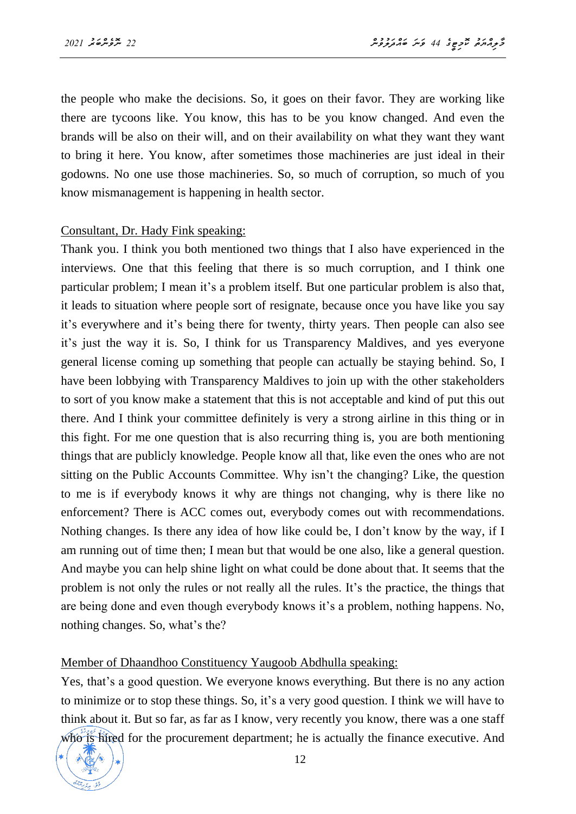the people who make the decisions. So, it goes on their favor. They are working like there are tycoons like. You know, this has to be you know changed. And even the brands will be also on their will, and on their availability on what they want they want to bring it here. You know, after sometimes those machineries are just ideal in their godowns. No one use those machineries. So, so much of corruption, so much of you know mismanagement is happening in health sector.

#### Consultant, Dr. Hady Fink speaking:

Thank you. I think you both mentioned two things that I also have experienced in the interviews. One that this feeling that there is so much corruption, and I think one particular problem; I mean it's a problem itself. But one particular problem is also that, it leads to situation where people sort of resignate, because once you have like you say it's everywhere and it's being there for twenty, thirty years. Then people can also see it's just the way it is. So, I think for us Transparency Maldives, and yes everyone general license coming up something that people can actually be staying behind. So, I have been lobbying with Transparency Maldives to join up with the other stakeholders to sort of you know make a statement that this is not acceptable and kind of put this out there. And I think your committee definitely is very a strong airline in this thing or in this fight. For me one question that is also recurring thing is, you are both mentioning things that are publicly knowledge. People know all that, like even the ones who are not sitting on the Public Accounts Committee. Why isn't the changing? Like, the question to me is if everybody knows it why are things not changing, why is there like no enforcement? There is ACC comes out, everybody comes out with recommendations. Nothing changes. Is there any idea of how like could be, I don't know by the way, if I am running out of time then; I mean but that would be one also, like a general question. And maybe you can help shine light on what could be done about that. It seems that the problem is not only the rules or not really all the rules. It's the practice, the things that are being done and even though everybody knows it's a problem, nothing happens. No, nothing changes. So, what's the?

#### Member of Dhaandhoo Constituency Yaugoob Abdhulla speaking:

Yes, that's a good question. We everyone knows everything. But there is no any action to minimize or to stop these things. So, it's a very good question. I think we will have to think about it. But so far, as far as I know, very recently you know, there was a one staff who is hired for the procurement department; he is actually the finance executive. And

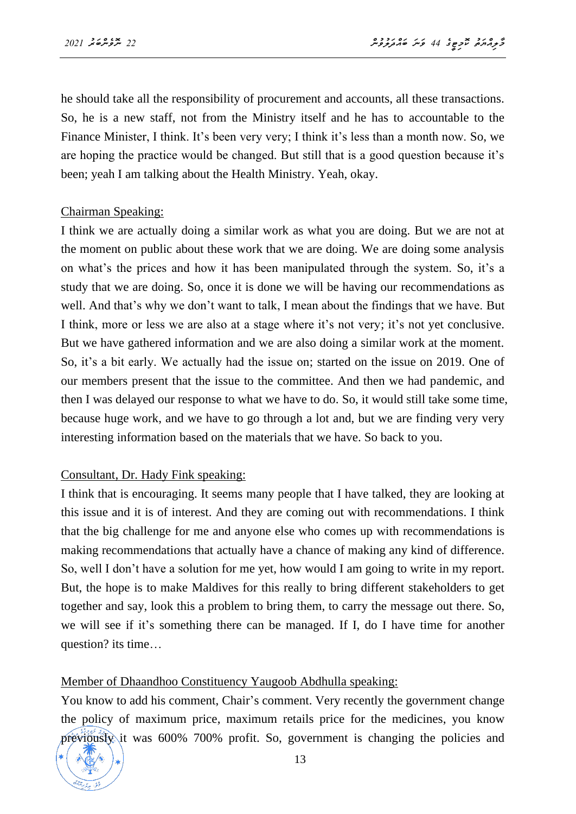he should take all the responsibility of procurement and accounts, all these transactions. So, he is a new staff, not from the Ministry itself and he has to accountable to the Finance Minister, I think. It's been very very; I think it's less than a month now. So, we are hoping the practice would be changed. But still that is a good question because it's been; yeah I am talking about the Health Ministry. Yeah, okay.

#### Chairman Speaking:

I think we are actually doing a similar work as what you are doing. But we are not at the moment on public about these work that we are doing. We are doing some analysis on what's the prices and how it has been manipulated through the system. So, it's a study that we are doing. So, once it is done we will be having our recommendations as well. And that's why we don't want to talk, I mean about the findings that we have. But I think, more or less we are also at a stage where it's not very; it's not yet conclusive. But we have gathered information and we are also doing a similar work at the moment. So, it's a bit early. We actually had the issue on; started on the issue on 2019. One of our members present that the issue to the committee. And then we had pandemic, and then I was delayed our response to what we have to do. So, it would still take some time, because huge work, and we have to go through a lot and, but we are finding very very interesting information based on the materials that we have. So back to you.

#### Consultant, Dr. Hady Fink speaking:

I think that is encouraging. It seems many people that I have talked, they are looking at this issue and it is of interest. And they are coming out with recommendations. I think that the big challenge for me and anyone else who comes up with recommendations is making recommendations that actually have a chance of making any kind of difference. So, well I don't have a solution for me yet, how would I am going to write in my report. But, the hope is to make Maldives for this really to bring different stakeholders to get together and say, look this a problem to bring them, to carry the message out there. So, we will see if it's something there can be managed. If I, do I have time for another question? its time…

#### Member of Dhaandhoo Constituency Yaugoob Abdhulla speaking:

You know to add his comment, Chair's comment. Very recently the government change the policy of maximum price, maximum retails price for the medicines, you know previously it was 600% 700% profit. So, government is changing the policies and

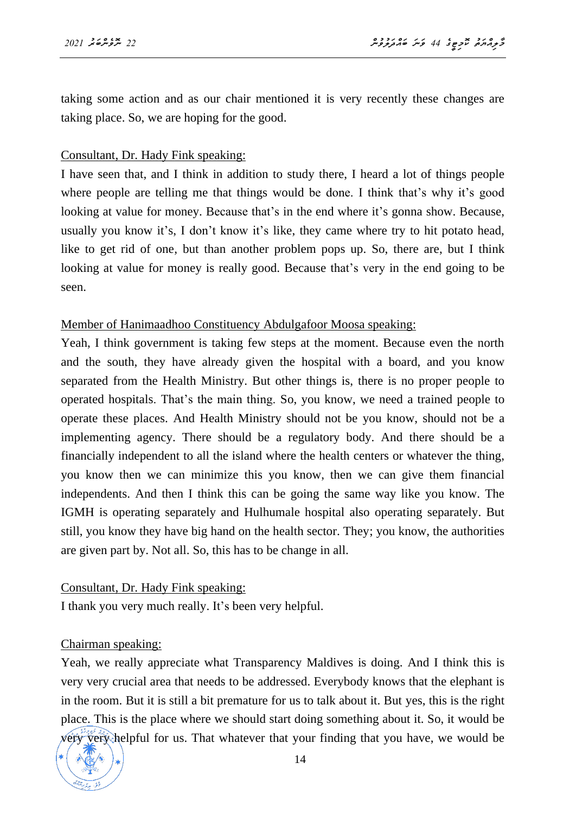taking some action and as our chair mentioned it is very recently these changes are taking place. So, we are hoping for the good.

#### Consultant, Dr. Hady Fink speaking:

I have seen that, and I think in addition to study there, I heard a lot of things people where people are telling me that things would be done. I think that's why it's good looking at value for money. Because that's in the end where it's gonna show. Because, usually you know it's, I don't know it's like, they came where try to hit potato head, like to get rid of one, but than another problem pops up. So, there are, but I think looking at value for money is really good. Because that's very in the end going to be seen.

#### Member of Hanimaadhoo Constituency Abdulgafoor Moosa speaking:

Yeah, I think government is taking few steps at the moment. Because even the north and the south, they have already given the hospital with a board, and you know separated from the Health Ministry. But other things is, there is no proper people to operated hospitals. That's the main thing. So, you know, we need a trained people to operate these places. And Health Ministry should not be you know, should not be a implementing agency. There should be a regulatory body. And there should be a financially independent to all the island where the health centers or whatever the thing, you know then we can minimize this you know, then we can give them financial independents. And then I think this can be going the same way like you know. The IGMH is operating separately and Hulhumale hospital also operating separately. But still, you know they have big hand on the health sector. They; you know, the authorities are given part by. Not all. So, this has to be change in all.

#### Consultant, Dr. Hady Fink speaking:

I thank you very much really. It's been very helpful.

#### Chairman speaking:

Yeah, we really appreciate what Transparency Maldives is doing. And I think this is very very crucial area that needs to be addressed. Everybody knows that the elephant is in the room. But it is still a bit premature for us to talk about it. But yes, this is the right place. This is the place where we should start doing something about it. So, it would be very very helpful for us. That whatever that your finding that you have, we would be

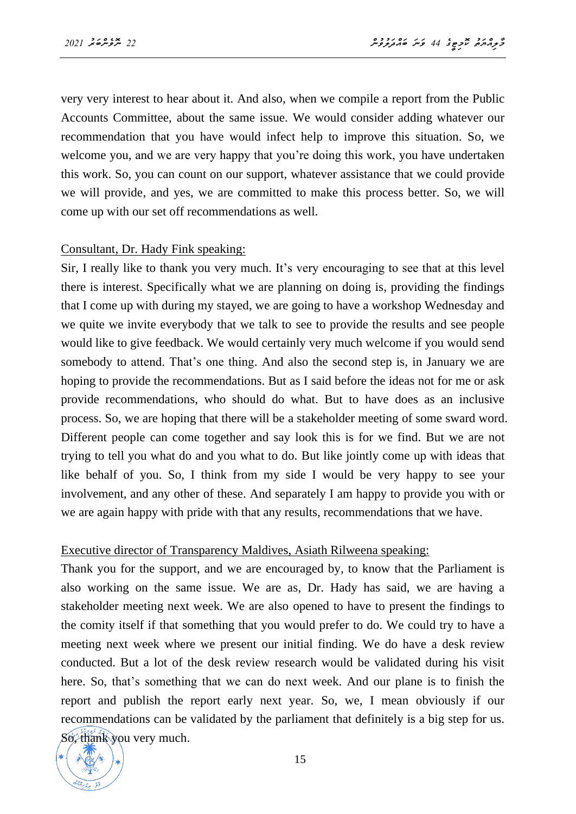very very interest to hear about it. And also, when we compile a report from the Public Accounts Committee, about the same issue. We would consider adding whatever our recommendation that you have would infect help to improve this situation. So, we welcome you, and we are very happy that you're doing this work, you have undertaken this work. So, you can count on our support, whatever assistance that we could provide we will provide, and yes, we are committed to make this process better. So, we will come up with our set off recommendations as well.

#### Consultant, Dr. Hady Fink speaking:

Sir, I really like to thank you very much. It's very encouraging to see that at this level there is interest. Specifically what we are planning on doing is, providing the findings that I come up with during my stayed, we are going to have a workshop Wednesday and we quite we invite everybody that we talk to see to provide the results and see people would like to give feedback. We would certainly very much welcome if you would send somebody to attend. That's one thing. And also the second step is, in January we are hoping to provide the recommendations. But as I said before the ideas not for me or ask provide recommendations, who should do what. But to have does as an inclusive process. So, we are hoping that there will be a stakeholder meeting of some sward word. Different people can come together and say look this is for we find. But we are not trying to tell you what do and you what to do. But like jointly come up with ideas that like behalf of you. So, I think from my side I would be very happy to see your involvement, and any other of these. And separately I am happy to provide you with or we are again happy with pride with that any results, recommendations that we have.

#### Executive director of Transparency Maldives, Asiath Rilweena speaking:

Thank you for the support, and we are encouraged by, to know that the Parliament is also working on the same issue. We are as, Dr. Hady has said, we are having a stakeholder meeting next week. We are also opened to have to present the findings to the comity itself if that something that you would prefer to do. We could try to have a meeting next week where we present our initial finding. We do have a desk review conducted. But a lot of the desk review research would be validated during his visit here. So, that's something that we can do next week. And our plane is to finish the report and publish the report early next year. So, we, I mean obviously if our recommendations can be validated by the parliament that definitely is a big step for us. So, thank you very much.